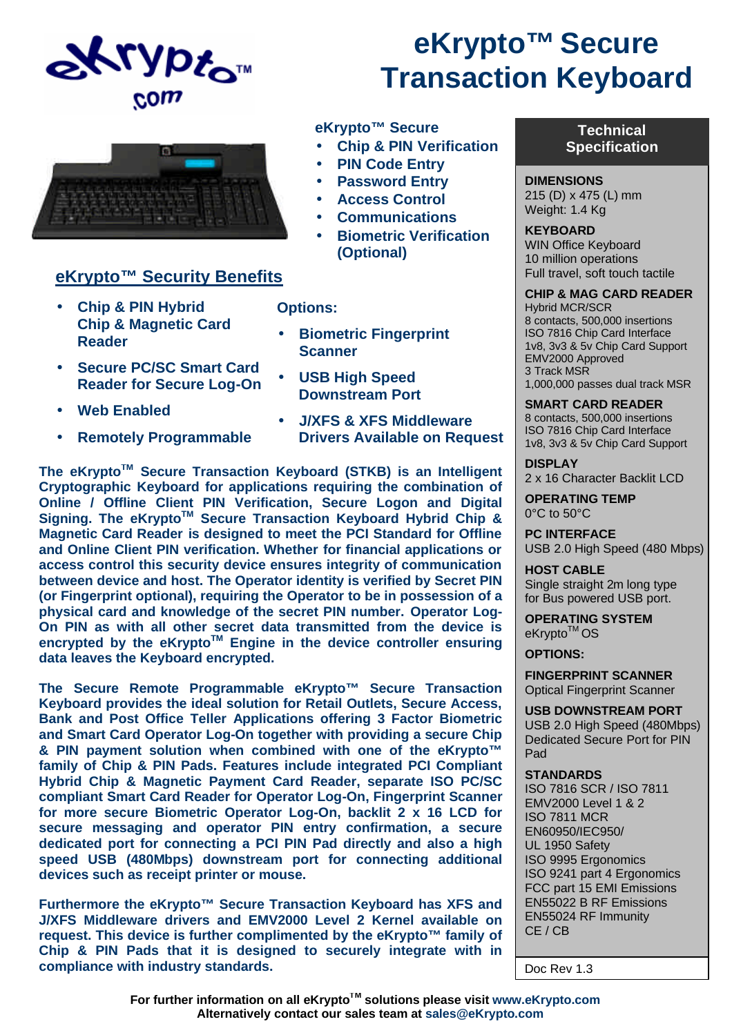



## **eKrypto™ Security Benefits**

- **Chip & PIN Hybrid Chip & Magnetic Card Reader**
- **Secure PC/SC Smart Card Reader for Secure Log-On**
- **Web Enabled**
- **Remotely Programmable**

## **Options:**

- **Biometric Fingerprint Scanner**
- **USB High Speed Downstream Port**
- **J/XFS & XFS Middleware Drivers Available on Request**

 **Cryptographic Keyboard for applications requiring the combination of The eKryptoTM Secure Transaction Keyboard (STKB) is an Intelligent Online / Offline Client PIN Verification, Secure Logon and Digital Signing. The eKryptoTM Secure Transaction Keyboard Hybrid Chip & Magnetic Card Reader is designed to meet the PCI Standard for Offline and Online Client PIN verification. Whether for financial applications or access control this security device ensures integrity of communication between device and host. The Operator identity is verified by Secret PIN (or Fingerprint optional), requiring the Operator to be in possession of a physical card and knowledge of the secret PIN number. Operator Log-On PIN as with all other secret data transmitted from the device is encrypted by the eKryptoTM Engine in the device controller ensuring data leaves the Keyboard encrypted.** 

**The Secure Remote Programmable eKrypto™ Secure Transaction Keyboard provides the ideal solution for Retail Outlets, Secure Access, Bank and Post Office Teller Applications offering 3 Factor Biometric and Smart Card Operator Log-On together with providing a secure Chip & PIN payment solution when combined with one of the eKrypto™ family of Chip & PIN Pads. Features include integrated PCI Compliant Hybrid Chip & Magnetic Payment Card Reader, separate ISO PC/SC compliant Smart Card Reader for Operator Log-On, Fingerprint Scanner for more secure Biometric Operator Log-On, backlit 2 x 16 LCD for secure messaging and operator PIN entry confirmation, a secure dedicated port for connecting a PCI PIN Pad directly and also a high speed USB (480Mbps) downstream port for connecting additional devices such as receipt printer or mouse.** 

**Furthermore the eKrypto™ Secure Transaction Keyboard has XFS and J/XFS Middleware drivers and EMV2000 Level 2 Kernel available on request. This device is further complimented by the eKrypto™ family of Chip & PIN Pads that it is designed to securely integrate with in compliance with industry standards.**

## **eKrypto™ Secure Transaction Keyboard**

## **eKrypto™ Secure**

- **Chip & PIN Verification**
- **PIN Code Entry**
- **Password Entry**
- **Access Control**
- **Communications**
- **Biometric Verification (Optional)**

## **Technical Specification**

### **DIMENSIONS**

215 (D) x 475 (L) mm Weight: 1.4 Kg

**KEYBOARD** WIN Office Keyboard 10 million operations Full travel, soft touch tactile

## **CHIP & MAG CARD READER**

Hybrid MCR/SCR 8 contacts, 500,000 insertions ISO 7816 Chip Card Interface 1v8, 3v3 & 5v Chip Card Support EMV2000 Approved 3 Track MSR 1,000,000 passes dual track MSR

#### **SMART CARD READER**

8 contacts, 500,000 insertions ISO 7816 Chip Card Interface 1v8, 3v3 & 5v Chip Card Support

**DISPLAY** 2 x 16 Character Backlit LCD

**OPERATING TEMP** 0°C to 50°C

**PC INTERFACE** USB 2.0 High Speed (480 Mbps)

**HOST CABLE** Single straight 2m long type for Bus powered USB port.

**OPERATING SYSTEM** eKrypto<sup>™</sup>OS

**OPTIONS:**

**FINGERPRINT SCANNER**  Optical Fingerprint Scanner

**USB DOWNSTREAM PORT** USB 2.0 High Speed (480Mbps) Dedicated Secure Port for PIN Pad

## **STANDARDS**

ISO 7816 SCR / ISO 7811 EMV2000 Level 1 & 2 ISO 7811 MCR EN60950/IEC950/ UL 1950 Safety ISO 9995 Ergonomics ISO 9241 part 4 Ergonomics FCC part 15 EMI Emissions EN55022 B RF Emissions EN55024 RF Immunity CE / CB

Doc Rev 1.3